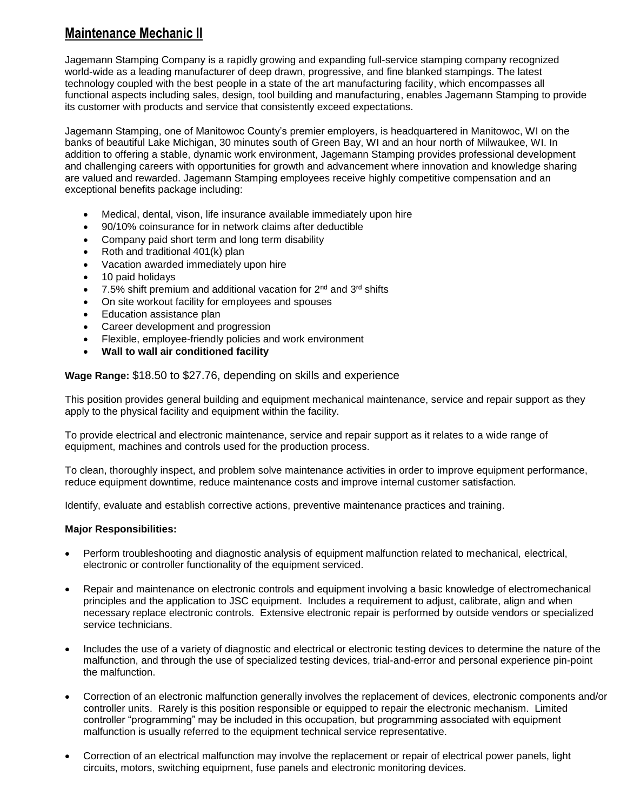# **Maintenance Mechanic II**

Jagemann Stamping Company is a rapidly growing and expanding full-service stamping company recognized world-wide as a leading manufacturer of deep drawn, progressive, and fine blanked stampings. The latest technology coupled with the best people in a state of the art manufacturing facility, which encompasses all functional aspects including sales, design, tool building and manufacturing, enables Jagemann Stamping to provide its customer with products and service that consistently exceed expectations.

Jagemann Stamping, one of Manitowoc County's premier employers, is headquartered in Manitowoc, WI on the banks of beautiful Lake Michigan, 30 minutes south of Green Bay, WI and an hour north of Milwaukee, WI. In addition to offering a stable, dynamic work environment, Jagemann Stamping provides professional development and challenging careers with opportunities for growth and advancement where innovation and knowledge sharing are valued and rewarded. Jagemann Stamping employees receive highly competitive compensation and an exceptional benefits package including:

- Medical, dental, vison, life insurance available immediately upon hire
- 90/10% coinsurance for in network claims after deductible
- Company paid short term and long term disability
- Roth and traditional 401(k) plan
- Vacation awarded immediately upon hire
- 10 paid holidays
- 7.5% shift premium and additional vacation for 2nd and 3rd shifts
- On site workout facility for employees and spouses
- Education assistance plan
- Career development and progression
- Flexible, employee-friendly policies and work environment
- **Wall to wall air conditioned facility**

## **Wage Range:** \$18.50 to \$27.76, depending on skills and experience

This position provides general building and equipment mechanical maintenance, service and repair support as they apply to the physical facility and equipment within the facility.

To provide electrical and electronic maintenance, service and repair support as it relates to a wide range of equipment, machines and controls used for the production process.

To clean, thoroughly inspect, and problem solve maintenance activities in order to improve equipment performance, reduce equipment downtime, reduce maintenance costs and improve internal customer satisfaction.

Identify, evaluate and establish corrective actions, preventive maintenance practices and training.

### **Major Responsibilities:**

- Perform troubleshooting and diagnostic analysis of equipment malfunction related to mechanical, electrical, electronic or controller functionality of the equipment serviced.
- Repair and maintenance on electronic controls and equipment involving a basic knowledge of electromechanical principles and the application to JSC equipment. Includes a requirement to adjust, calibrate, align and when necessary replace electronic controls. Extensive electronic repair is performed by outside vendors or specialized service technicians.
- Includes the use of a variety of diagnostic and electrical or electronic testing devices to determine the nature of the malfunction, and through the use of specialized testing devices, trial-and-error and personal experience pin-point the malfunction.
- Correction of an electronic malfunction generally involves the replacement of devices, electronic components and/or controller units. Rarely is this position responsible or equipped to repair the electronic mechanism. Limited controller "programming" may be included in this occupation, but programming associated with equipment malfunction is usually referred to the equipment technical service representative.
- Correction of an electrical malfunction may involve the replacement or repair of electrical power panels, light circuits, motors, switching equipment, fuse panels and electronic monitoring devices.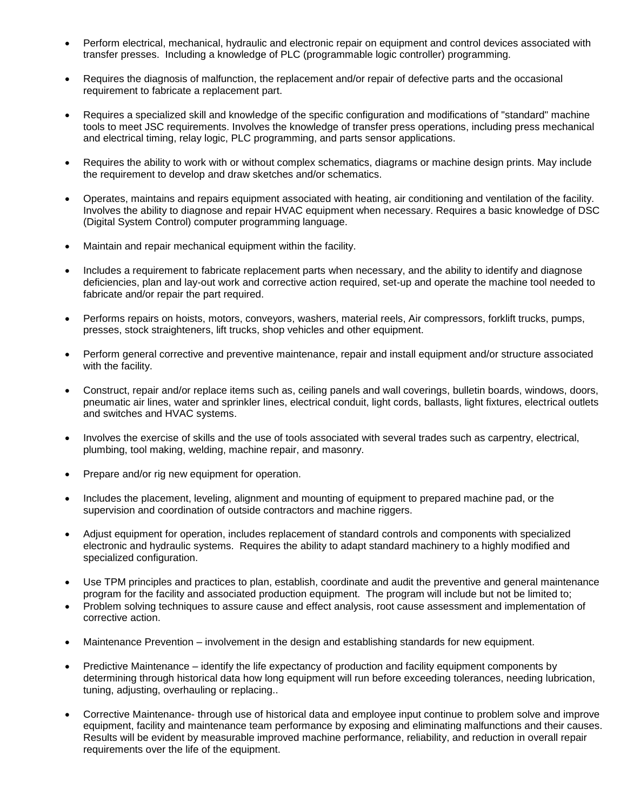- Perform electrical, mechanical, hydraulic and electronic repair on equipment and control devices associated with transfer presses. Including a knowledge of PLC (programmable logic controller) programming.
- Requires the diagnosis of malfunction, the replacement and/or repair of defective parts and the occasional requirement to fabricate a replacement part.
- Requires a specialized skill and knowledge of the specific configuration and modifications of "standard" machine tools to meet JSC requirements. Involves the knowledge of transfer press operations, including press mechanical and electrical timing, relay logic, PLC programming, and parts sensor applications.
- Requires the ability to work with or without complex schematics, diagrams or machine design prints. May include the requirement to develop and draw sketches and/or schematics.
- Operates, maintains and repairs equipment associated with heating, air conditioning and ventilation of the facility. Involves the ability to diagnose and repair HVAC equipment when necessary. Requires a basic knowledge of DSC (Digital System Control) computer programming language.
- Maintain and repair mechanical equipment within the facility.
- Includes a requirement to fabricate replacement parts when necessary, and the ability to identify and diagnose deficiencies, plan and lay-out work and corrective action required, set-up and operate the machine tool needed to fabricate and/or repair the part required.
- Performs repairs on hoists, motors, conveyors, washers, material reels, Air compressors, forklift trucks, pumps, presses, stock straighteners, lift trucks, shop vehicles and other equipment.
- Perform general corrective and preventive maintenance, repair and install equipment and/or structure associated with the facility.
- Construct, repair and/or replace items such as, ceiling panels and wall coverings, bulletin boards, windows, doors, pneumatic air lines, water and sprinkler lines, electrical conduit, light cords, ballasts, light fixtures, electrical outlets and switches and HVAC systems.
- Involves the exercise of skills and the use of tools associated with several trades such as carpentry, electrical, plumbing, tool making, welding, machine repair, and masonry.
- Prepare and/or rig new equipment for operation.
- Includes the placement, leveling, alignment and mounting of equipment to prepared machine pad, or the supervision and coordination of outside contractors and machine riggers.
- Adjust equipment for operation, includes replacement of standard controls and components with specialized electronic and hydraulic systems. Requires the ability to adapt standard machinery to a highly modified and specialized configuration.
- Use TPM principles and practices to plan, establish, coordinate and audit the preventive and general maintenance program for the facility and associated production equipment. The program will include but not be limited to;
- Problem solving techniques to assure cause and effect analysis, root cause assessment and implementation of corrective action.
- Maintenance Prevention involvement in the design and establishing standards for new equipment.
- Predictive Maintenance identify the life expectancy of production and facility equipment components by determining through historical data how long equipment will run before exceeding tolerances, needing lubrication, tuning, adjusting, overhauling or replacing..
- Corrective Maintenance- through use of historical data and employee input continue to problem solve and improve equipment, facility and maintenance team performance by exposing and eliminating malfunctions and their causes. Results will be evident by measurable improved machine performance, reliability, and reduction in overall repair requirements over the life of the equipment.